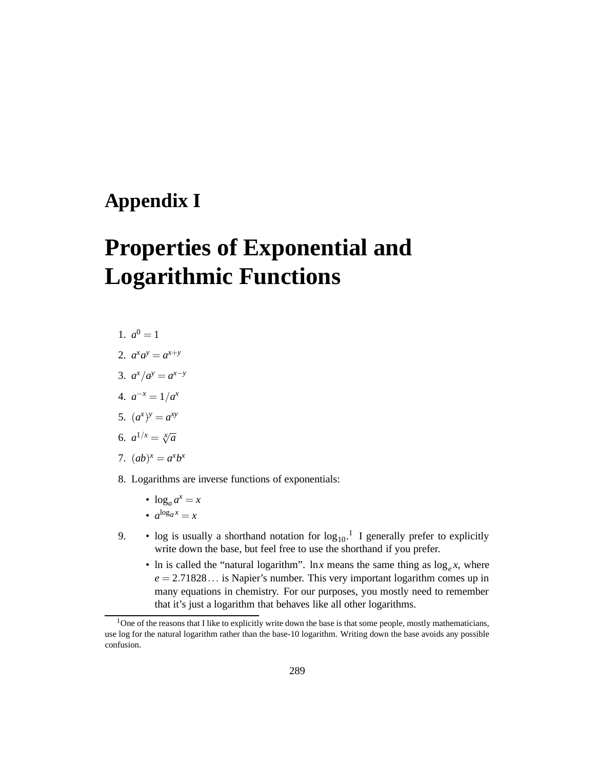## **Appendix I**

## **Properties of Exponential and Logarithmic Functions**

- 1.  $a^0 = 1$
- 2.  $a^x a^y = a^{x+y}$
- 3.  $a^x/a^y = a^{x-y}$
- 4.  $a^{-x} = 1/a^x$
- 5.  $(a^x)^y = a^{xy}$
- 6.  $a^{1/x} = \sqrt[x]{a}$
- 7.  $(ab)^x = a^x b^x$
- 8. Logarithms are inverse functions of exponentials:
	- $\log_a a^x = x$
	- $a^{\log_a x} = x$
- 9. log is usually a shorthand notation for  $log_{10}$ .<sup>1</sup> I generally prefer to explicitly write down the base, but feel free to use the shorthand if you prefer.
	- In is called the "natural logarithm". In *x* means the same thing as  $\log_e x$ , where  $e = 2.71828...$  is Napier's number. This very important logarithm comes up in many equations in chemistry. For our purposes, you mostly need to remember that it's just a logarithm that behaves like all other logarithms.

 $1$ One of the reasons that I like to explicitly write down the base is that some people, mostly mathematicians, use log for the natural logarithm rather than the base-10 logarithm. Writing down the base avoids any possible confusion.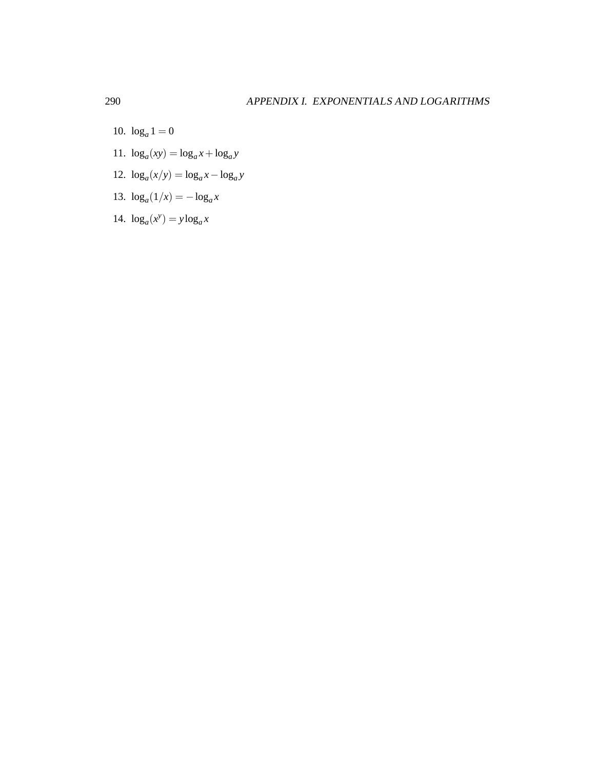- 10.  $\log_a 1 = 0$
- 11.  $\log_a(xy) = \log_a x + \log_a y$
- 12.  $\log_a(x/y) = \log_a x \log_a y$
- 13.  $\log_a(1/x) = -\log_a x$
- 14.  $\log_a(x^y) = y \log_a x$